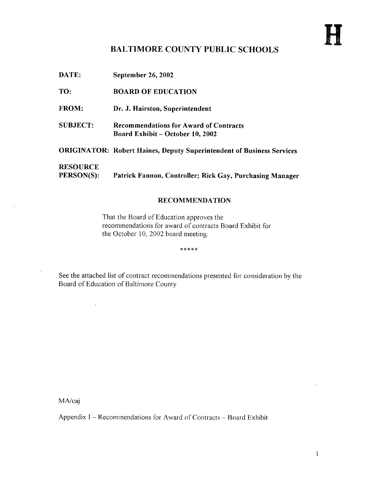## BALTIMORE COUNTY PUBLIC SCHOOLS

DATE: September 26, 2002 TO: BOARD OF EDUCATION FROM: Dr. J. Hairston, Superintendent SUBJECT: Recommendations for Award of Contracts Board Exhibit - October 10, 2002 ORIGINATOR: Robert Haines, Deputy Superintendent of Business Services **RESOURCE**<br>PERSON(S): Patrick Fannon, Controller; Rick Gay, Purchasing Manager

#### RECOMMENDATION

That the Board of Education approves the recommendations for award of contracts Board Exhibit for the October 10, 2002 board meeting.

\*\*\*\*\*

See the attached list of contract recommendations presented for consideration by the Board of Education of Baltimore County.

MA/caj

Appendix  $I$  – Recommendations for Award of Contracts – Board Exhibit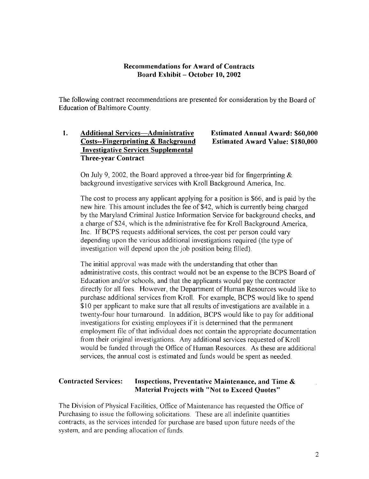#### Recommendations for Award of Contracts Board Exhibit - October 10, 2002

The following contract recommendations are presented for consideration by the Board of Education of Baltimore County.

#### 1. Additional Services—Administrative Estimated Annual Award: \$60,000<br>Costs--Fingerprinting & Background Estimated Award Value: \$180,000 Costs--Fingerprinting & Background Investigative Services Supplemental Three-year Contract

On July 9, 2002, the Board approved a three-year bid for fingerprinting  $\&$ background investigative services with Kroll Background America, Inc.

The cost to process any applicant applying for a position is \$66, and is paid by the new hire. This amount includes the fee of \$42, which is currently being charged by the Maryland Criminal Justice Information Service for background checks, and a charge of \$24, which is the administrative fee for Kroll Background America, Inc. If BCPS requests additional services, the cost per person could vary depending upon the various additional investigations required (the type of investigation will depend upon the job position being filled).

The initial approval was made with the understanding that other than administrative costs, this contract would not be an expense to the BCPS Board of Education and/or schools, and that the applicants would pay the contractor directly for all fees. However, the Department of Human Resources would like to purchase additional services from Kroll. For example, BCPS would like to spend \$10 per applicant to make sure that all results of investigations are available in <sup>a</sup> twenty-four hour turnaround. In addition, BCPS would like to pay for additional investigations for existing employees if it is determined that the permanent employment file of that individual does not contain the appropriate documentation from their original investigations . Any additional services requested of Kroll would be funded through the Office of Human Resources. As these are additional services, the annual cost is estimated and funds would be spent as needed.

#### Contracted Services: Inspections, Preventative Maintenance, and Time & Material Projects with "Not to Exceed Quotes"

The Division of Physical Facilities, Office of Maintenance has requested the Office of Purchasing to issue the following solicitations. These are all indefinite quantities contracts, as the services intended for purchase are based upon future needs of the system, and are pending allocation of funds.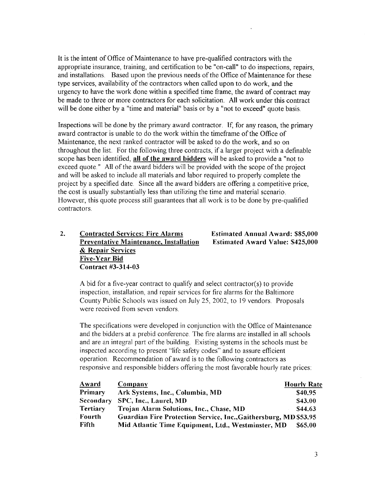It is the intent of Office of Maintenance to have pre-qualified contractors with the appropriate insurance, training, and certification to be "on-call" to do inspections, repairs, and installations. Based upon the previous needs of the Office of Maintenance for these type services, availability of the contractors when called upon to do work, and the urgency to have the work done within a specified time frame, the award of contract may be made to three or more contractors for each solicitation. All work under this contract will be done either by a "time and material" basis or by a "not to exceed" quote basis.

Inspections will be done by the primary award contractor. If, for any reason, the primary award contractor is unable to do the work within the timeframe of the Office of Maintenance, the next ranked contractor will be asked to do the work, and so on throughout the list. For the following three contracts, if a larger project with a definable scope has been identified, all of the award bidders will be asked to provide a "not to exceed quote." All of the award bidders will be provided with the scope of the project and will be asked to include all materials and labor required to properly complete the project by a specified date. Since all the award bidders are offering a competitive price, the cost is usually substantially less than utilizing the time and material scenario. However, this quote process still guarantees that all work is to be done by pre-qualified contractors.

#### 2. Contracted Services: Fire Alarms<br>Preventative Maintenance, Installation Estimated Award Value: \$425,000 Preventative Maintenance, Installation & Repair Services Five-Year Bid Contract #3-314-03

Abid for <sup>a</sup> five-year contract to qualify and select contractor(s) to provide inspection, installation, and repair services for fire alarms for the Baltimore County Public Schools was issued on July 25, 2002, to 19 vendors . Proposals were received from seven vendors.

The specifications were developed in conjunction with the Office of Maintenance and the bidders at a prebid conference . The fire alarms are installed in all schools and are an integral part of the building. Existing systems in the schools must be inspected according to present "life safety codes" and to assure efficient operation . Recommendation of award is to the following contractors as responsive and responsible bidders offering the most favorable hourly rate prices :

| <b>Award</b>     | Company                                                          | <b>Hourly Rate</b> |
|------------------|------------------------------------------------------------------|--------------------|
| <b>Primary</b>   | Ark Systems, Inc., Columbia, MD                                  | \$40.95            |
| <b>Secondary</b> | SPC, Inc., Laurel, MD                                            | \$43.00            |
| <b>Tertiary</b>  | Trojan Alarm Solutions, Inc., Chase, MD                          | \$44.63            |
| Fourth           | Guardian Fire Protection Service, Inc., Gaithersburg, MD \$53.95 |                    |
| Fifth            | Mid Atlantic Time Equipment, Ltd., Westminster, MD               | \$65.00            |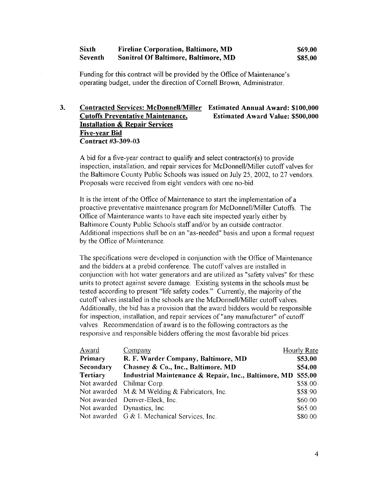#### Sixth Fireline Corporation, Baltimore, MD \$69.00<br>Seventh Sonitrol Of Baltimore, Baltimore, MD \$85.00 Sonitrol Of Baltimore, Baltimore, MD

Funding for this contract will be provided by the Office of Maintenance's operating budget, under the direction of Cornell Brown, Administrator.

#### 3. Contracted Services: McDonnell/Miller Estimated Annual Award: \$100,000<br>Cutoffs Preventative Maintenance, Estimated Award Value: \$500,000 Cutoffs Preventative Maintenance, **Installation & Repair Services** Five-year Bid Contract #3-309-03

A bid for a five-year contract to qualify and select contractor(s) to provide inspection, installation, and repair services for McDonnell/Miller cutoff valves for the Baltimore County Public Schools was issued on July 25, 2002, to 27 vendors. Proposals were received from eight vendors with one no-bid .

It is the intent of the Office of Maintenance to start the implementation of a proactive preventative maintenance program for McDonnell/Miller Cutoffs . The Office of Maintenance wants to have each site inspected yearly either by Baltimore County Public Schools staff and/or by an outside contractor. Additional inspections shall be on an "as-needed" basis and upon a formal request by the Office of Maintenance.

The specifications were developed in conjunction with the Office of Maintenance and the bidders at a prebid conference . The cutoff valves are installed in conjunction with hot water generators and are utilized as "safety valves" for these units to protect against severe damage. Existing systems in the schools must be tested according to present "life safety codes." Currently, the majority of the cutoff valves installed in the schools are the McDonnell/Miller cutoff valves . Additionally, the bid has a provision that the award bidders would be responsible for inspection, installation, and repair services of "any manufacturer" of cutoff valves. Recommendation of award is to the following contractors as the responsive and responsible bidders offering the most favorable bid prices :

| Award            | Company                                                      | Hourly Rate |
|------------------|--------------------------------------------------------------|-------------|
| Primary          | R. F. Warder Company, Baltimore, MD                          | \$53.00     |
| <b>Secondary</b> | Chasney & Co., Inc., Baltimore, MD                           | \$54.00     |
| <b>Tertiary</b>  | Industrial Maintenance & Repair, Inc., Baltimore, MD \$55.00 |             |
|                  | Not awarded Chilmar Corp.                                    | $$58.00 \,$ |
|                  | Not awarded $M & M$ Welding & Fabricators, Inc.              | \$58.90     |
|                  | Not awarded Denver-Eleck, Inc.                               | \$60.00     |
|                  | Not awarded Dynastics, Inc.                                  | \$65.00     |
|                  | Not awarded G & L Mechanical Services, Inc.                  | \$80.00     |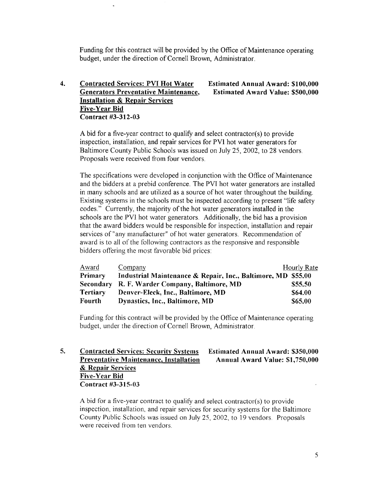Funding for this contract will be provided by the Office of Maintenance operating budget, under the direction of Cornell Brown, Administrator.

#### 4. Contracted Services: PVI Hot Water<br>
Generators Preventative Maintenance, Estimated Award Value: \$500,000 Generators Preventative Maintenance, Installation & Repair Services Five-Year Bid Contract #3-312-03

Abid for <sup>a</sup> five-year contract to qualify and select contractor(s) to provide inspection, installation, and repair services for PVT hot water generators for Baltimore County Public Schools was issued on July 25, 2002, to 28 vendors. Proposals were received from four vendors.

The specifications were developed in conjunction with the Office of Maintenance and the bidders at <sup>a</sup> prebid conference . The PVI hot water generators are installed in many schools and are utilized as a source of hot water throughout the building. Existing systems in the schools must be inspected according to present "life safety codes." Currently, the majority of the hot water generators installed in the schools are the PVI hot water generators . Additionally, the bid has a provision that the award bidders would be responsible for inspection, installation and repair services of "any manufacturer" of hot water generators. Recommendation of award is to all of the following contractors as the responsive and responsible bidders offering the most favorable bid prices:

| Award           | Company                                                      | Hourly Rate |
|-----------------|--------------------------------------------------------------|-------------|
| Primary         | Industrial Maintenance & Repair, Inc., Baltimore, MD \$55.00 |             |
|                 | Secondary R. F. Warder Company, Baltimore, MD                | \$55.50     |
| <b>Tertiary</b> | Denver-Eleck, Inc., Baltimore, MD                            | \$64.00     |
| Fourth          | Dynastics, Inc., Baltimore, MD                               | \$65.00     |

Funding for this contract will be provided by the Office of Maintenance operating budget, under the direction of Cornell Brown, Administrator.

#### 5. Contracted Services: Security Systems<br>Preventative Maintenance, Installation<br>Annual Award Value: \$1,750,000 Preventative Maintenance, Installation & Repair Services Five-Year Bid Contract #3-315-03

A bid for a five-year contract to qualify and select contractor(s) to provide inspection, installation, and repair services for security systems for the Baltimore County Public Schools was issued on July 25, 2002, to 19 vendors. Proposals were received from ten vendors.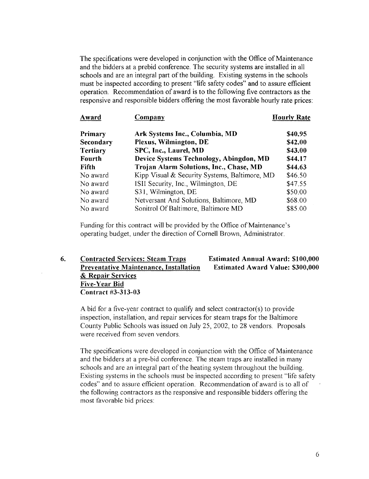The specifications were developed in conjunction with the Office of Maintenance and the bidders at a prebid conference . The security systems are installed in all schools and are an integral part of the building. Existing systems in the schools must be inspected according to present "life safety codes" and to assure efficient operation. Recommendation of award is to the following five contractors as the responsive and responsible bidders offering the most favorable hourly rate prices :

| Award           | Company                                       | <b>Hourly Rate</b> |
|-----------------|-----------------------------------------------|--------------------|
| Primary         | Ark Systems Inc., Columbia, MD                | \$40.95            |
| Secondary       | Plexus, Wilmington, DE                        | \$42.00            |
| <b>Tertiary</b> | SPC, Inc., Laurel, MD                         | \$43.00            |
| Fourth          | Device Systems Technology, Abingdon, MD       | \$44.17            |
| Fifth           | Trojan Alarm Solutions, Inc., Chase, MD       | \$44.63            |
| No award        | Kipp Visual & Security Systems, Baltimore, MD | \$46.50            |
| No award        | ISII Security, Inc., Wilmington, DE           | \$47.55            |
| No award        | S31, Wilmington, DE                           | \$50.00            |
| No award        | Netversant And Solutions, Baltimore, MD       | \$68.00            |
| No award        | Sonitrol Of Baltimore, Baltimore MD           | \$85.00            |
|                 |                                               |                    |

Funding for this contract will be provided by the Office of Maintenance's operating budget, under the direction of Cornell Brown, Administrator.

6. Contracted Services: Steam Traps<br>Preventative Maintenance, Installation Estimated Award Value: \$300,000 Preventative Maintenance, Installation & Repair Services Five-Year Bid Contract #3-313-03

Abid for <sup>a</sup> five-year contract to qualify and select contractor(s) to provide inspection, installation, and repair services for steam traps for the Baltimore County Public Schools was issued on July 25, 2002, to 28 vendors. Proposals were received from seven vendors.

The specifications were developed in conjunction with the Office of Maintenance and the bidders at a pre-bid conference . The steam traps are installed in many schools and are an integral part of the heating system throughout the building. Existing systems in the schools must be inspected according to present "life safety codes" and to assure efficient operation. Recommendation of award is to all of the following contractors as the responsive and responsible bidders offering the most favorable bid prices :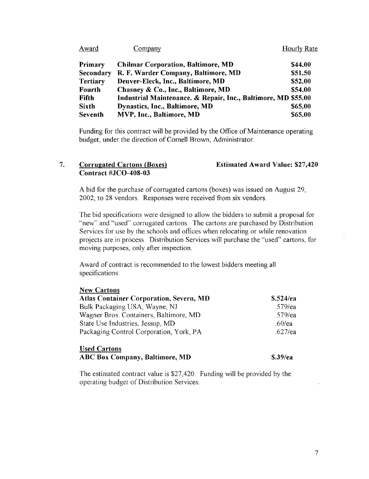| Award           | Company                                                       | <b>Hourly Rate</b> |
|-----------------|---------------------------------------------------------------|--------------------|
| <b>Primary</b>  | <b>Chilmar Corporation, Baltimore, MD</b>                     | \$44.00            |
| Secondary       | R. F. Warder Company, Baltimore, MD                           | \$51.50            |
| <b>Tertiary</b> | Denver-Eleck, Inc., Baltimore, MD                             | \$52.00            |
| <b>Fourth</b>   | Chasney & Co., Inc., Baltimore, MD                            | \$54.00            |
| <b>Fifth</b>    | Industrial Maintenance. & Repair, Inc., Baltimore, MD \$55.00 |                    |
| <b>Sixth</b>    | Dynastics, Inc., Baltimore, MD                                | \$65.00            |
| Seventh         | MVP, Inc., Baltimore, MD                                      | \$65.00            |

Funding for this contract will be provided by the Office of Maintenance operating budget, under the direction of Cornell Brown, Administrator.

#### 7. Corrugated Cartons (Boxes) Contract #JCO-408-03 Estimated Award Value: \$27,420

Abid for the purchase of corrugated cartons (boxes) was issued on August 29, 2002, to 28 vendors . Responses were received from six vendors.

The bid specifications were designed to allow the bidders to submit a proposal for "new" and "used" corrugated cartons . The cartons are purchased by Distribution Services for use by the schools and offices when relocating or while renovation projects are in process . Distribution Services will purchase the "used" cartons, for moving purposes, only after inspection .

Award of contract is recommended to the lowest bidders meeting all specifications:

#### New Cartons

| <b>Atlas Container Corporation, Severn, MD</b> | \$.524/ea  |
|------------------------------------------------|------------|
| Bulk Packaging USA, Wayne, NJ                  | .579/ea    |
| Wagner Bros. Containers, Baltimore, MD         | $.579$ /ea |
| State Use Industries, Jessup, MD               | $.60$ /ea  |
| Packaging Control Corporation, York, PA        | $.627$ /ea |

#### Used Cartons ABC Box Company, Baltimore, MD \$.39/ea

The estimated contract value is \$27,420 . Funding will be provided by the operating budget of Distribution Services.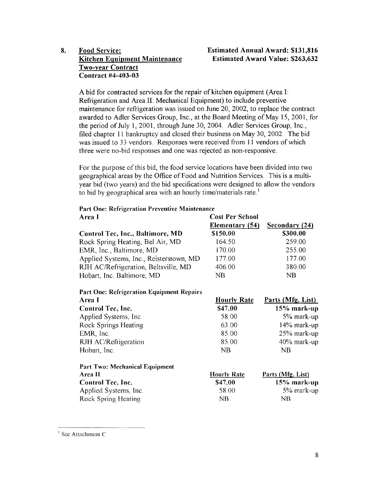# 8. Food Service: Estimated Annual Award: \$131,816<br>Kitchen Equipment Maintenance Estimated Award Value: \$263,632 Two-year Contract Contract #4-403-03

A bid for contracted services for the repair of kitchen equipment (Area I: Refrigeration and Area <sup>11</sup> : Mechanical Equipment) to include preventive maintenance for refrigeration was issued on June 20, 2002, to replace the contract awarded to Adler Services Group, Inc., at the Board Meeting of May 15, 2001, for the period of July l, 2001, through June 30, 2004. Adler Services Group, Inc., filed chapter <sup>11</sup> bankruptcy and closed their business on May 30, 2002. The bid was issued to 33 vendors. Responses were received from <sup>11</sup> vendors of which three were no-bid responses and one was rejected as non-responsive .

For the purpose of this bid, the food service locations have been divided into two geographical areas by the Office of Food and Nutrition Services . This is a multiyear bid (two years) and the bid specifications were designed to allow the vendors to bid by geographical area with an hourly time/materials rate.<sup>1</sup>

| Area I                                           | <b>Cost Per School</b> |                          |
|--------------------------------------------------|------------------------|--------------------------|
|                                                  | Elementary (54)        | Secondary (24)           |
| Control Tec, Inc., Baltimore, MD                 | \$150.00               | \$300.00                 |
| Rock Spring Heating, Bel Air, MD                 | 164.50                 | 259.00                   |
| EMR, Inc., Baltimore, MD                         | 170.00                 | 255.00                   |
| Applied Systems, Inc., Reisterstown, MD          | 177.00                 | 177.00                   |
| RJH AC/Refrigeration, Beltsville, MD             | 406.00                 | 380 00                   |
| Hobart, Inc. Baltimore, MD                       | <b>NB</b>              | <b>NB</b>                |
| <b>Part One: Refrigeration Equipment Repairs</b> |                        |                          |
| Area I                                           | <b>Hourly Rate</b>     | <u>Parts (Mfg. List)</u> |
| Control Tec, Inc.                                | \$47.00                | 15% mark-up              |
| Applied Systems, Inc.                            | 58.00                  | 5% mark-up               |
| <b>Rock Springs Heating</b>                      | 63.00                  | 14% mark-up              |
| EMR, Inc.                                        | 85.00                  | 25% mark-up              |
| RJH AC/Refrigeration                             | 85.00                  | 40% mark-up              |
| Hobart, Inc.                                     | NB                     | <b>NB</b>                |
| <b>Part Two: Mechanical Equipment</b>            |                        |                          |
| Area II                                          | <b>Hourly Rate</b>     | Parts (Mfg. List)        |
| Control Tec, Inc.                                | \$47.00                | $15%$ mark-up.           |
| Applied Systems, Inc.                            | 58.00                  | 5% mark-up               |
| Rock Spring Heating                              | NB                     | NB                       |

Part One: Refrigeration Preventive Maintenance

' See Attachment C: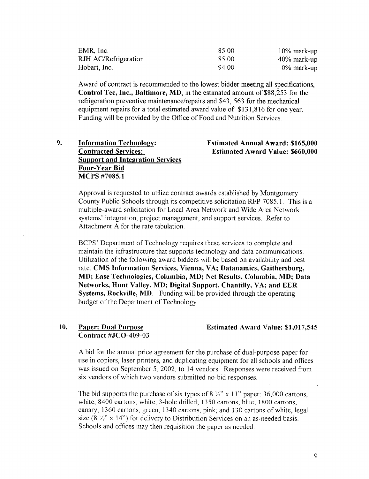| EMR, Inc.            | 85.00  | $10\%$ mark-up |
|----------------------|--------|----------------|
| RJH AC/Refrigeration | 85.00  | $40\%$ mark-up |
| Hobart, Inc.         | -94.00 | $0\%$ mark-up  |

Award of contract is recommended to the lowest bidder meeting all specifications, Control Tee, Inc., Baltimore, MD, in the estimated amount of \$88,253 for the refrigeration preventive maintenance/repairs and \$43, 563 for the mechanical equipment repairs for a total estimated award value of \$131,816 for one year. Funding will be provided by the Office of Food and Nutrition Services.

9. Information Technology:<br>
Contracted Services: Estimated Award Value: \$660,000 Support and Integration Services Four-Year Bid MCPS #7085.1

# Estimated Award Value: \$660,000

Approval is requested to utilize contract awards established by Montgomery County Public Schools through its competitive solicitation RFP 7085.1 . This is a multiple-award solicitation for Local Area Network and Wide Area Network systems' integration, project management, and support services. Refer to Attachment A for the rate tabulation.

BCPS' Department of Technology requires these services to complete and maintain the infrastructure that supports technology and data communications . Utilization of the following award bidders will be based on availability and best rate: CMS Information Services, Vienna, VA; Datanamics, Gaithersburg, MD; Ease Technologies, Columbia, MD; Net Results, Columbia, MD; Data Networks, Hunt Valley, MD; Digital Support, Chantilly, VA; and EER Systems, Rockville, MD. Funding will be provided through the operating budget of the Department of Technology .

#### 10. Paper: Dual Purpose Contract #JCO-409-03

Estimated Award Value: \$1,017,545

A bid for the annual price agreement for the purchase of dual-purpose paper for use in copiers, laser printers, and duplicating equipment for all schools and offices was issued on September 5, 2002, to 14 vendors. Responses were received from six vendors of which two vendors submitted no-bid responses.

The bid supports the purchase of six types of  $8\frac{1}{2}$ " x 11" paper: 36,000 cartons, white; 8400 cartons, white, 3-hole drilled; 1350 cartons, blue; 1800 cartons, canary; 1360 cartons, green; 1340 cartons, pink; and 130 cartons of white, legal size  $(8 \frac{1}{2}$ " x 14") for delivery to Distribution Services on an as-needed basis. Schools and offices may then requisition the paper as needed.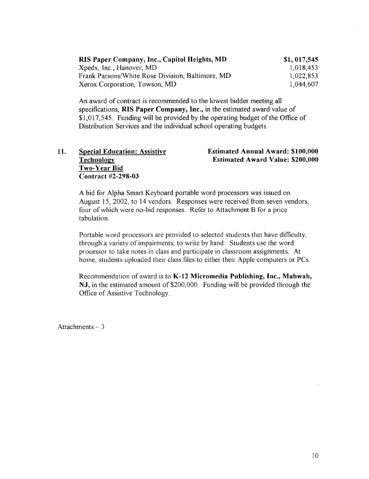| RIS Paper Company, Inc., Capitol Heights, MD     | \$1, 017, 545 |
|--------------------------------------------------|---------------|
| Xpedx, Inc., Hanover, MD                         | 1,018,453     |
| Frank Parsons/White Rose Division, Baltimore, MD | 1,022,853     |
| Xerox Corporation, Towson, MD                    | 1,044,607     |

An award of contract is recommended to the lowest bidder meeting all specifications, RIS Paper Company, Inc., in the estimated award value of \$1,017,545 . Funding will be provided by the operating budget of the Office of Distribution Services and the individual school operating budgets.

# Two-Year Bid Contract #2-298-03

11. Special Education: Assistive Estimated Annual Award: \$100,000<br>
Fechnology Estimated Award Value: \$200,000 Estimated Award Value: \$200,000

Abid for Alpha Smart Keyboard portable word processors was issued on August 15, 2002, to 14 vendors. Responses were received from seven vendors, four of which were no-bid responses. Refer to Attachment B for a price tabulation.

Portable word processors are provided to selected students that have difficulty, through a variety of impairments, to write by hand. Students use the word processor to take notes in class and participate in classroom assignments. At home, students uploaded their class files to either their Apple computers or PCs.

Recommendation of award is to K-12 Micromedia Publishing, Inc., Mahwah, NJ, in the estimated amount of \$200,000. Funding will be provided through the Office of Assistive Technology .

Attachments  $-3$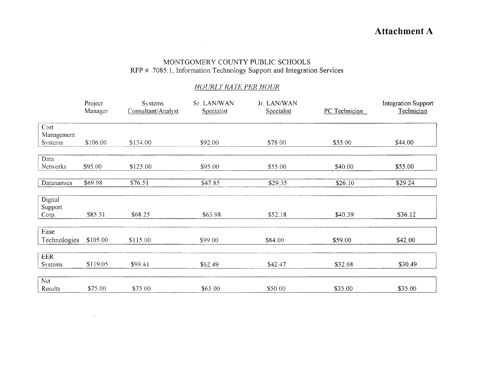# Attachment A

### MONTGOMERY COUNTY PUBLIC SCHOOLS RFP # 7085 .1, Information Technology Support and Integration Services

### HOLIRLY RA TE PER HOUR

|                | Project<br>Manager | Systems<br>Consultant/Analyst | Sr. LAN/WAN<br>Specialist | Jr. LAN/WAN<br>Specialist | PC Technician | <b>Integration Support</b><br>Technician |
|----------------|--------------------|-------------------------------|---------------------------|---------------------------|---------------|------------------------------------------|
|                |                    |                               |                           |                           |               |                                          |
| Cost           |                    |                               |                           |                           |               |                                          |
| Management     |                    |                               |                           |                           |               |                                          |
| <b>Systems</b> | \$106.00           | \$134.00                      | \$92.00                   | \$78.00                   | \$55.00       | \$44.00                                  |
|                |                    |                               |                           |                           |               |                                          |
| Data           |                    |                               |                           |                           |               |                                          |
| Networks       | \$95.00            | \$125.00                      | \$95.00                   | \$55.00                   | \$40.00       | \$55.00                                  |
| Datanamics     | \$69.98            | \$76.51                       | \$47.85                   | \$29.35                   | \$26.10       | \$29.24                                  |
|                |                    |                               |                           |                           |               |                                          |
| Digital        |                    |                               |                           |                           |               |                                          |
| Support        |                    |                               |                           |                           |               |                                          |
| Corp.          | \$85.31            | \$68.25                       | \$63.98                   | \$52.18                   | \$40.39       | \$36.12                                  |
|                |                    |                               |                           |                           |               |                                          |
| Ease           |                    |                               |                           |                           |               |                                          |
| Technologies   | \$105.00           | \$115.00                      | \$99.00                   | \$84.00                   | \$59.00       | \$42.00                                  |
|                |                    |                               |                           |                           |               |                                          |
| <b>EER</b>     |                    |                               |                           |                           |               |                                          |
| <b>Systems</b> | \$119.05           | \$99.41                       | \$62.49                   | \$42.47                   | \$32.68       | \$30.49                                  |
|                |                    |                               |                           |                           |               |                                          |
| Nct            |                    |                               |                           |                           |               |                                          |
| Results        | \$75.00            | \$75.00                       | \$65.00                   | \$50.00                   | \$35.00       | \$35.00                                  |

 $\sim 10^{11}$  km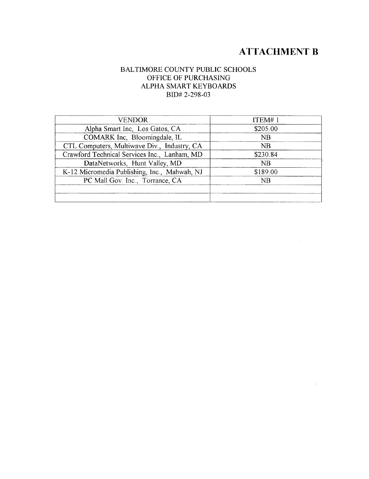# ATTACHMENT B

 $\mathcal{A}^{\mathcal{A}}$ 

 $\bar{r}$ 

#### BALTIMORE COUNTY PUBLIC SCHOOLS OFFICE OF PURCHASING ALPHA SMART KEYBOARDS BID# 2-298-03

| <b>VENDOR</b>                                | ITEM#1   |
|----------------------------------------------|----------|
| Alpha Smart Inc. Los Gatos, CA               | \$205.00 |
| COMARK Inc. Bloomingdale, IL                 | NB       |
| CTL Computers, Multiwave Div., Industry, CA  | NB.      |
| Crawford Technical Services Inc., Lanham, MD | \$230.84 |
| DataNetworks, Hunt Valley, MD                | NB       |
| K-12 Micromedia Publishing, Inc., Mahwah, NJ | \$189.00 |
| PC Mall Gov. Inc., Torrance, CA              | NB       |
|                                              |          |
|                                              |          |